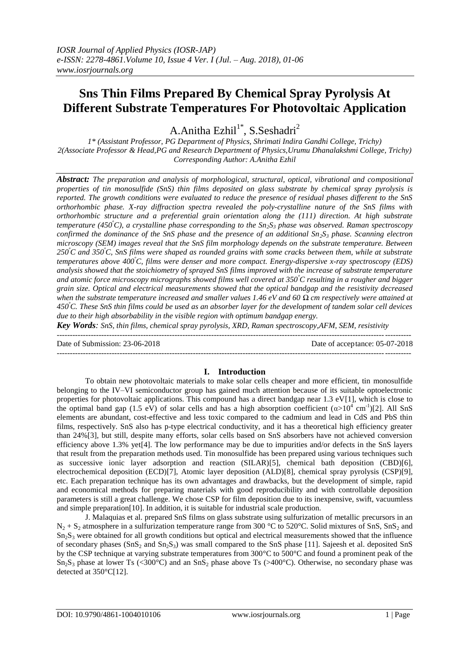# **Sns Thin Films Prepared By Chemical Spray Pyrolysis At Different Substrate Temperatures For Photovoltaic Application**

A.Anitha Ezhil<sup>1\*</sup>, S.Seshadri<sup>2</sup>

*1\* (Assistant Professor, PG Department of Physics, Shrimati Indira Gandhi College, Trichy) 2(Associate Professor & Head,PG and Research Department of Physics,Urumu Dhanalakshmi College, Trichy) Corresponding Author: A.Anitha Ezhil*

*Abstract: The preparation and analysis of morphological, structural, optical, vibrational and compositional properties of tin monosulfide (SnS) thin films deposited on glass substrate by chemical spray pyrolysis is reported. The growth conditions were evaluated to reduce the presence of residual phases different to the SnS orthorhombic phase. X-ray diffraction spectra revealed the poly-crystalline nature of the SnS films with orthorhombic structure and a preferential grain orientation along the (111) direction. At high substrate temperature (450<sup>º</sup>C), a crystalline phase corresponding to the Sn2S<sup>3</sup> phase was observed. Raman spectroscopy confirmed the dominance of the SnS phase and the presence of an additional Sn2S<sup>3</sup> phase. Scanning electron microscopy (SEM) images reveal that the SnS film morphology depends on the substrate temperature. Between 250<sup>º</sup>C and 350<sup>º</sup>C, SnS films were shaped as rounded grains with some cracks between them, while at substrate temperatures above 400<sup>º</sup>C, films were denser and more compact. Energy-dispersive x-ray spectroscopy (EDS) analysis showed that the stoichiometry of sprayed SnS films improved with the increase of substrate temperature and atomic force microscopy micrographs showed films well covered at 350<sup>º</sup>C resulting in a rougher and bigger grain size. Optical and electrical measurements showed that the optical bandgap and the resistivity decreased when the substrate temperature increased and smaller values 1.46 eV and 60 Ω cm respectively were attained at 450<sup>º</sup>C. These SnS thin films could be used as an absorber layer for the development of tandem solar cell devices due to their high absorbability in the visible region with optimum bandgap energy.*

*Key Words: SnS, thin films, chemical spray pyrolysis, XRD, Raman spectroscopy,AFM, SEM, resistivity*

---------------------------------------------------------------------------------------------------------------------------------------

Date of Submission: 23-06-2018 Date of acceptance: 05-07-2018

# **I. Introduction**

 $-1-\frac{1}{2}$ 

To obtain new photovoltaic materials to make solar cells cheaper and more efficient, tin monosulfide belonging to the IV–VI semiconductor group has gained much attention because of its suitable optoelectronic properties for photovoltaic applications. This compound has a direct bandgap near  $1.3 \text{ eV}[1]$ , which is close to the optimal band gap (1.5 eV) of solar cells and has a high absorption coefficient  $(\alpha > 10^4 \text{ cm}^{-1})$ [2]. All SnS elements are abundant, cost-effective and less toxic compared to the cadmium and lead in CdS and PbS thin films, respectively. SnS also has p-type electrical conductivity, and it has a theoretical high efficiency greater than 24%[3], but still, despite many efforts, solar cells based on SnS absorbers have not achieved conversion efficiency above 1.3% yet[4]. The low performance may be due to impurities and/or defects in the SnS layers that result from the preparation methods used. Tin monosulfide has been prepared using various techniques such as successive ionic layer adsorption and reaction (SILAR)[5], chemical bath deposition (CBD)[6], electrochemical deposition (ECD)[7], Atomic layer deposition (ALD)[8], chemical spray pyrolysis (CSP)[9], etc. Each preparation technique has its own advantages and drawbacks, but the development of simple, rapid and economical methods for preparing materials with good reproducibility and with controllable deposition parameters is still a great challenge. We chose CSP for film deposition due to its inexpensive, swift, vacuumless and simple preparation[10]. In addition, it is suitable for industrial scale production.

J. Malaquias et al. prepared SnS films on glass substrate using sulfurization of metallic precursors in an  $N_2 + S_2$  atmosphere in a sulfurization temperature range from 300 °C to 520°C. Solid mixtures of SnS, SnS<sub>2</sub> and  $Sn<sub>2</sub>S<sub>3</sub>$  were obtained for all growth conditions but optical and electrical measurements showed that the influence of secondary phases ( $SnS<sub>2</sub>$  and  $Sn<sub>2</sub>S<sub>3</sub>$ ) was small compared to the SnS phase [11]. Sajeesh et al. deposited SnS by the CSP technique at varying substrate temperatures from 300°C to 500°C and found a prominent peak of the  $Sn<sub>2</sub>S<sub>3</sub>$  phase at lower Ts (<300°C) and an SnS<sub>2</sub> phase above Ts (>400°C). Otherwise, no secondary phase was detected at 350°C[12].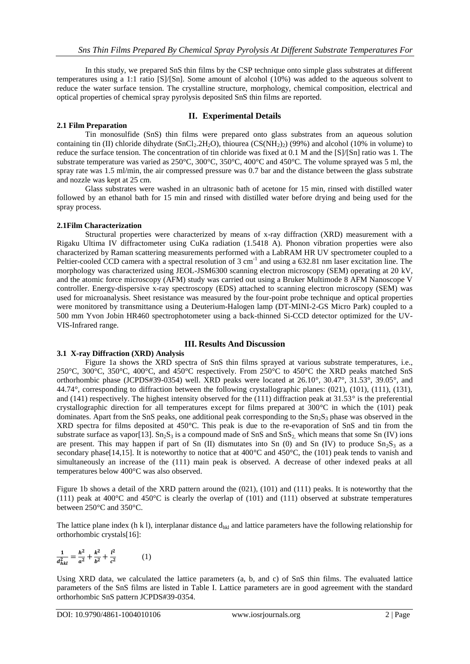In this study, we prepared SnS thin films by the CSP technique onto simple glass substrates at different temperatures using a 1:1 ratio [S]/[Sn]. Some amount of alcohol (10%) was added to the aqueous solvent to reduce the water surface tension. The crystalline structure, morphology, chemical composition, electrical and optical properties of chemical spray pyrolysis deposited SnS thin films are reported.

## **2.1 Film Preparation**

## **II. Experimental Details**

Tin monosulfide (SnS) thin films were prepared onto glass substrates from an aqueous solution containing tin (II) chloride dihydrate (SnCl<sub>2</sub>.2H<sub>2</sub>O), thiourea (CS(NH<sub>2</sub>)<sub>2</sub>) (99%) and alcohol (10% in volume) to reduce the surface tension. The concentration of tin chloride was fixed at 0.1 M and the [S]/[Sn] ratio was 1. The substrate temperature was varied as 250°C, 300°C, 350°C, 400°C and 450°C. The volume sprayed was 5 ml, the spray rate was 1.5 ml/min, the air compressed pressure was 0.7 bar and the distance between the glass substrate and nozzle was kept at 25 cm.

Glass substrates were washed in an ultrasonic bath of acetone for 15 min, rinsed with distilled water followed by an ethanol bath for 15 min and rinsed with distilled water before drying and being used for the spray process.

## **2.1Film Characterization**

Structural properties were characterized by means of x-ray diffraction (XRD) measurement with a Rigaku Ultima IV diffractometer using CuKa radiation (1.5418 A). Phonon vibration properties were also characterized by Raman scattering measurements performed with a LabRAM HR UV spectrometer coupled to a Peltier-cooled CCD camera with a spectral resolution of  $3 \text{ cm}^{-1}$  and using a 632.81 nm laser excitation line. The morphology was characterized using JEOL-JSM6300 scanning electron microscopy (SEM) operating at 20 kV, and the atomic force microscopy (AFM) study was carried out using a Bruker Multimode 8 AFM Nanoscope V controller. Energy-dispersive x-ray spectroscopy (EDS) attached to scanning electron microscopy (SEM) was used for microanalysis. Sheet resistance was measured by the four-point probe technique and optical properties were monitored by transmittance using a Deuterium-Halogen lamp (DT-MINI-2-GS Micro Park) coupled to a 500 mm Yvon Jobin HR460 spectrophotometer using a back-thinned Si-CCD detector optimized for the UV-VIS-Infrared range.

# **III. Results And Discussion**

## **3.1 X-ray Diffraction (XRD) Analysis**

Figure 1a shows the XRD spectra of SnS thin films sprayed at various substrate temperatures, i.e., 250°C, 300°C, 350°C, 400°C, and 450°C respectively. From 250°C to 450°C the XRD peaks matched SnS orthorhombic phase (JCPDS#39-0354) well. XRD peaks were located at 26.10°, 30.47°, 31.53°, 39.05°, and 44.74°, corresponding to diffraction between the following crystallographic planes: (021), (101), (111), (131), and (141) respectively. The highest intensity observed for the (111) diffraction peak at  $31.53^\circ$  is the preferential crystallographic direction for all temperatures except for films prepared at  $300^{\circ}$ C in which the (101) peak dominates. Apart from the SnS peaks, one additional peak corresponding to the  $Sn<sub>2</sub>S<sub>3</sub>$  phase was observed in the XRD spectra for films deposited at 450°C. This peak is due to the re-evaporation of SnS and tin from the substrate surface as vapor[13].  $Sn<sub>2</sub>S<sub>3</sub>$  is a compound made of SnS and SnS<sub>2</sub>, which means that some Sn (IV) ions are present. This may happen if part of Sn  $(II)$  dismutates into Sn  $(0)$  and Sn  $(IV)$  to produce  $Sn<sub>2</sub>S<sub>3</sub>$  as a secondary phase[14,15]. It is noteworthy to notice that at 400°C and 450°C, the (101) peak tends to vanish and simultaneously an increase of the (111) main peak is observed. A decrease of other indexed peaks at all temperatures below 400°C was also observed.

Figure 1b shows a detail of the XRD pattern around the (021), (101) and (111) peaks. It is noteworthy that the (111) peak at 400 $^{\circ}$ C and 450 $^{\circ}$ C is clearly the overlap of (101) and (111) observed at substrate temperatures between 250°C and 350°C.

The lattice plane index (h k l), interplanar distance  $d_{hkl}$  and lattice parameters have the following relationship for orthorhombic crystals[16]:

$$
\frac{1}{d_{hkl}^2} = \frac{h^2}{a^2} + \frac{k^2}{b^2} + \frac{l^2}{c^2}
$$
 (1)

Using XRD data, we calculated the lattice parameters (a, b, and c) of SnS thin films. The evaluated lattice parameters of the SnS films are listed in Table I. Lattice parameters are in good agreement with the standard orthorhombic SnS pattern JCPDS#39-0354.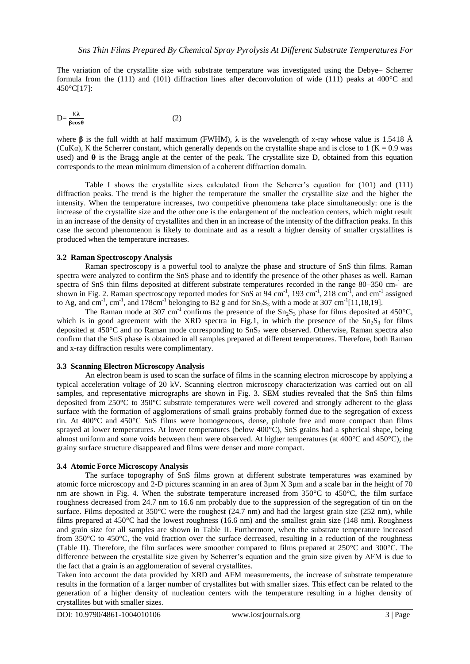The variation of the crystallite size with substrate temperature was investigated using the Debye– Scherrer formula from the (111) and (101) diffraction lines after deconvolution of wide (111) peaks at 400°C and 450°C[17]:

$$
D = \frac{K\lambda}{\beta \cos \theta} \tag{2}
$$

where **β** is the full width at half maximum (FWHM), **λ** is the wavelength of x-ray whose value is 1.5418 Å (CuK $\alpha$ ), K the Scherrer constant, which generally depends on the crystallite shape and is close to 1 (K = 0.9 was used) and  $\theta$  is the Bragg angle at the center of the peak. The crystallite size D, obtained from this equation corresponds to the mean minimum dimension of a coherent diffraction domain.

Table I shows the crystallite sizes calculated from the Scherrer's equation for (101) and (111) diffraction peaks. The trend is the higher the temperature the smaller the crystallite size and the higher the intensity. When the temperature increases, two competitive phenomena take place simultaneously: one is the increase of the crystallite size and the other one is the enlargement of the nucleation centers, which might result in an increase of the density of crystallites and then in an increase of the intensity of the diffraction peaks. In this case the second phenomenon is likely to dominate and as a result a higher density of smaller crystallites is produced when the temperature increases.

### **3.2 Raman Spectroscopy Analysis**

Raman spectroscopy is a powerful tool to analyze the phase and structure of SnS thin films. Raman spectra were analyzed to confirm the SnS phase and to identify the presence of the other phases as well. Raman spectra of SnS thin films deposited at different substrate temperatures recorded in the range 80–350 cm-<sup>1</sup> are shown in Fig. 2. Raman spectroscopy reported modes for SnS at 94 cm<sup>-1</sup>, 193 cm<sup>-1</sup>, 218 cm<sup>-1</sup>, and cm<sup>-1</sup> assigned to Ag, and cm<sup>-1</sup>, cm<sup>-1</sup>, and 178cm<sup>-1</sup> belonging to B2 g and for  $Sn_2S_3$  with a mode at 307 cm<sup>-1</sup>[11,18,19].

The Raman mode at 307 cm<sup>-1</sup> confirms the presence of the  $Sn<sub>2</sub>S<sub>3</sub>$  phase for films deposited at 450°C, which is in good agreement with the XRD spectra in Fig.1, in which the presence of the  $Sn<sub>2</sub>S<sub>3</sub>$  for films deposited at  $450^{\circ}$ C and no Raman mode corresponding to  $SnS<sub>2</sub>$  were observed. Otherwise, Raman spectra also confirm that the SnS phase is obtained in all samples prepared at different temperatures. Therefore, both Raman and x-ray diffraction results were complimentary.

## **3.3 Scanning Electron Microscopy Analysis**

An electron beam is used to scan the surface of films in the scanning electron microscope by applying a typical acceleration voltage of 20 kV. Scanning electron microscopy characterization was carried out on all samples, and representative micrographs are shown in Fig. 3. SEM studies revealed that the SnS thin films deposited from 250°C to 350°C substrate temperatures were well covered and strongly adherent to the glass surface with the formation of agglomerations of small grains probably formed due to the segregation of excess tin. At 400°C and 450°C SnS films were homogeneous, dense, pinhole free and more compact than films sprayed at lower temperatures. At lower temperatures (below 400°C), SnS grains had a spherical shape, being almost uniform and some voids between them were observed. At higher temperatures (at 400°C and 450°C), the grainy surface structure disappeared and films were denser and more compact.

### **3.4 Atomic Force Microscopy Analysis**

The surface topography of SnS films grown at different substrate temperatures was examined by atomic force microscopy and 2-D pictures scanning in an area of 3µm X 3µm and a scale bar in the height of 70 nm are shown in Fig. 4. When the substrate temperature increased from  $350^{\circ}$ C to  $450^{\circ}$ C, the film surface roughness decreased from 24.7 nm to 16.6 nm probably due to the suppression of the segregation of tin on the surface. Films deposited at  $350^{\circ}$ C were the roughest (24.7 nm) and had the largest grain size (252 nm), while films prepared at 450°C had the lowest roughness (16.6 nm) and the smallest grain size (148 nm). Roughness and grain size for all samples are shown in Table II. Furthermore, when the substrate temperature increased from 350°C to 450°C, the void fraction over the surface decreased, resulting in a reduction of the roughness (Table II). Therefore, the film surfaces were smoother compared to films prepared at 250°C and 300°C. The difference between the crystallite size given by Scherrer's equation and the grain size given by AFM is due to the fact that a grain is an agglomeration of several crystallites.

Taken into account the data provided by XRD and AFM measurements, the increase of substrate temperature results in the formation of a larger number of crystallites but with smaller sizes. This effect can be related to the generation of a higher density of nucleation centers with the temperature resulting in a higher density of crystallites but with smaller sizes.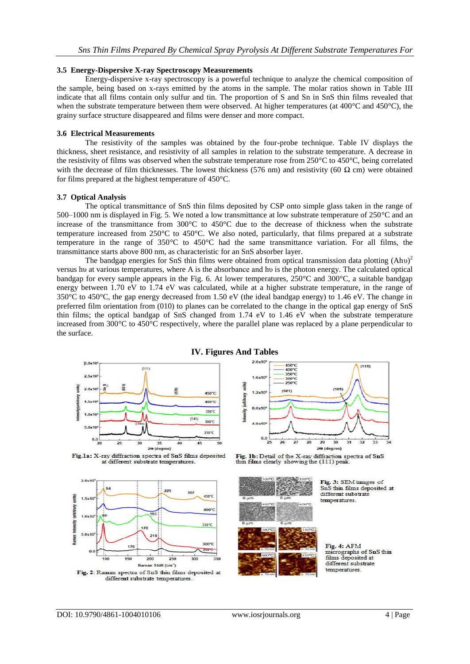#### **3.5 Energy-Dispersive X-ray Spectroscopy Measurements**

Energy-dispersive x-ray spectroscopy is a powerful technique to analyze the chemical composition of the sample, being based on x-rays emitted by the atoms in the sample. The molar ratios shown in Table III indicate that all films contain only sulfur and tin. The proportion of S and Sn in SnS thin films revealed that when the substrate temperature between them were observed. At higher temperatures (at 400°C and 450°C), the grainy surface structure disappeared and films were denser and more compact.

#### **3.6 Electrical Measurements**

The resistivity of the samples was obtained by the four-probe technique. Table IV displays the thickness, sheet resistance, and resistivity of all samples in relation to the substrate temperature. A decrease in the resistivity of films was observed when the substrate temperature rose from 250°C to 450°C, being correlated with the decrease of film thicknesses. The lowest thickness (576 nm) and resistivity (60  $\Omega$  cm) were obtained for films prepared at the highest temperature of 450°C.

#### **3.7 Optical Analysis**

The optical transmittance of SnS thin films deposited by CSP onto simple glass taken in the range of 500–1000 nm is displayed in Fig. 5. We noted a low transmittance at low substrate temperature of 250°C and an increase of the transmittance from 300°C to 450°C due to the decrease of thickness when the substrate temperature increased from 250°C to 450°C. We also noted, particularly, that films prepared at a substrate temperature in the range of 350°C to 450°C had the same transmittance variation. For all films, the transmittance starts above 800 nm, as characteristic for an SnS absorber layer.

The bandgap energies for SnS thin films were obtained from optical transmission data plotting  $(Ah\nu)^2$ versus hυ at various temperatures, where A is the absorbance and hυ is the photon energy. The calculated optical bandgap for every sample appears in the Fig. 6. At lower temperatures, 250°C and 300°C, a suitable bandgap energy between 1.70 eV to 1.74 eV was calculated, while at a higher substrate temperature, in the range of 350°C to 450°C, the gap energy decreased from 1.50 eV (the ideal bandgap energy) to 1.46 eV. The change in preferred film orientation from (010) to planes can be correlated to the change in the optical gap energy of SnS thin films; the optical bandgap of SnS changed from 1.74 eV to 1.46 eV when the substrate temperature increased from 300°C to 450°C respectively, where the parallel plane was replaced by a plane perpendicular to the surface.



## **IV. Figures And Tables**









Fig. 3: SEM images of SnS thin films deposited at different substrate temperatures.

Fig. 4: AFM micrographs of SnS thin films deposited at different substrate temperatures.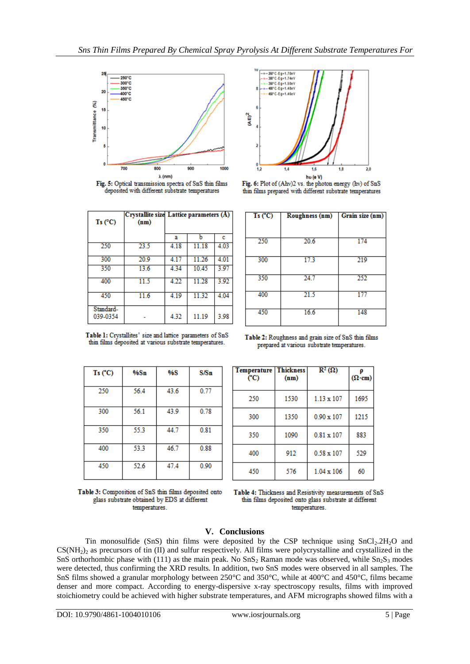

Fig. 5: Optical transmission spectra of SnS thin films deposited with different substrate temperatures

| $Ts$ (°C)             | (nm) | Crystallite size Lattice parameters (A) |       |       |
|-----------------------|------|-----------------------------------------|-------|-------|
|                       |      | а                                       | h     | c     |
| 250                   | 23.5 | 4.18                                    | 11.18 | 4.03  |
| 300                   | 20.9 | 4.17                                    | 11.26 | 4 0 1 |
| 350                   | 13.6 | 4.34                                    | 10.45 | 3.97  |
| 400                   | 11.5 | 4.22                                    | 11.28 | 3.92  |
| 450                   | 11.6 | 4.19                                    | 11.32 | 4.04  |
| Standard-<br>039-0354 |      | 4.32                                    | 11.19 | 3.98  |

Table 1: Crystallites' size and lattice parameters of SnS

thin films deposited at various substrate temperatures.



Fig. 6: Plot of (Ahv)2 vs. the photon energy (hv) of SnS thin films prepared with different substrate temperatures

| Ts(C) | Roughness (nm) | Grain size (nm) |
|-------|----------------|-----------------|
|       |                |                 |
| 250   | 20.6           | 174             |
| 300   | 17.3           | 219             |
| 350   | 24.7           | 252             |
| 400   | 21.5           | 177             |
| 450   | 16.6           | 148             |

Table 2: Roughness and grain size of SnS thin films prepared at various substrate temperatures.

**Thickness** 

 $(nm)$ 

1530

1350

1090

912

576

 $\mathbb{R}^2(\Omega)$ 

 $1.13 \times 107$ 

 $0.90 \times 107$ 

 $0.81 \times 107$ 

 $0.58 \times 107$ 

 $1.04 \times 106$ 

p

 $(\Omega \cdot cm)$ 

1695

1215

883

529

60

| Ts(C) | %Sn  | <b>%S</b> | S/Sn |
|-------|------|-----------|------|
| 250   | 56.4 | 43.6      | 0.77 |
| 300   | 56.1 | 43.9      | 0.78 |
| 350   | 55.3 | 44.7      | 0.81 |
| 400   | 53.3 | 46.7      | 0.88 |
| 450   | 52.6 | 47.4      | 0.90 |



Table 4: Thickness and Resistivity measurements of SnS thin films deposited onto glass substrate at different temperatures.

# **V. Conclusions**

Temperature

 $(C)$ 

250

300

350

400

450

Tin monosulfide (SnS) thin films were deposited by the CSP technique using  $SnCl<sub>2</sub>.2H<sub>2</sub>O$  and  $CS(NH<sub>2</sub>)<sub>2</sub>$  as precursors of tin (II) and sulfur respectively. All films were polycrystalline and crystallized in the SnS orthorhombic phase with (111) as the main peak. No  $\text{Sn}_2$  Raman mode was observed, while  $\text{Sn}_2\text{S}_3$  modes were detected, thus confirming the XRD results. In addition, two SnS modes were observed in all samples. The SnS films showed a granular morphology between 250°C and 350°C, while at 400°C and 450°C, films became denser and more compact. According to energy-dispersive x-ray spectroscopy results, films with improved stoichiometry could be achieved with higher substrate temperatures, and AFM micrographs showed films with a